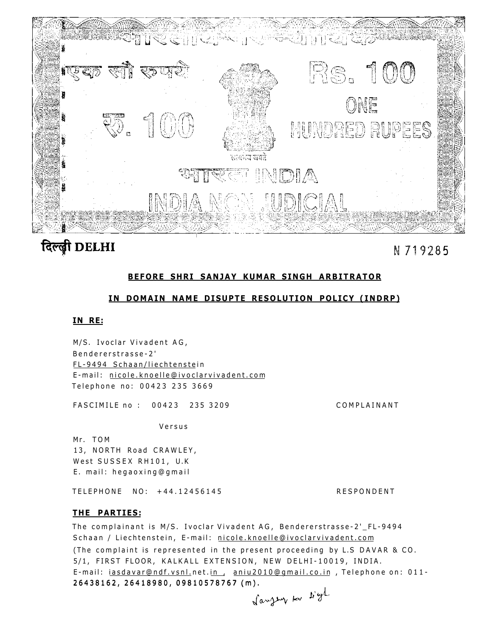

# दिल्ली DELHI

N 719285

## **BEFORE SHRI SANJAY KUMAR SINGH ARBITRATOR**

## IN DOMAIN NAME DISUPTE RESOLUTION POLICY (INDRP)

## **IN RE:**

M/S. Ivoclar Vivadent AG, Bendererstrasse-2 ' FL-9494 Schaan/liechtenstein E-mail: [nicole.knoelle@ivoclarvivadent.co](mailto:nicole.knoelle@ivoclarvivadent.com)m Telephone no: 00423 235 3669

FASCIMILE no: 00423 235 3209 COMPLAINANT

Versu s

Mr. TOM 13, NORTH Road CRAWLEY, West SUSSEX RH101, U.K. E. mail: hegaoxing@gmail

TELEPHONE NO: +44.12456145 RESPONDENT

## **T HE PARTIES:**

26438162 , 26418980 , 0981057876 7 (m) . 26438162, 26418980, 0981057876 7 (m). The complainant is M/S. Ivoclar Vivadent AG, Bendererstrasse-2'\_FL-9494 Schaan / Liechtenstein, E-mail: [nicole.knoelle@ivoclarvivadent.co](mailto:nicole.knoelle@ivoclarvivadent.com)m (The complaint is represented in the present proceeding by L.S DAVAR & CO. 5/1, FIRST FLOOR, KALKALL EXTENSION, NEW DELHI-10019, INDIA. E-mail: [iasdavar@ndf.vsnl.n](mailto:iasdavar@ndf.vsnl)et.in, [aniu2010@gmail.co.i](mailto:aniu2010@gmail.co.in)n, Telephone on: 011-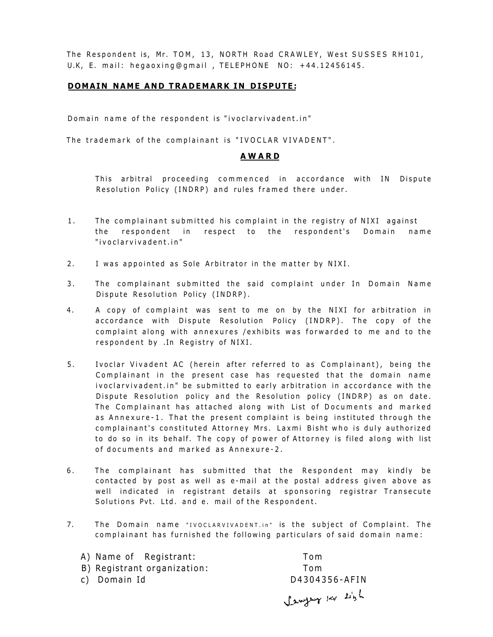The Respondent is, Mr. TOM, 13, NORTH Road CRAWLEY, West SUSSES RH101, U.K, E. mail: hegaoxing@gmail , TELEPHONE NO: +44.12456145.

## **DOMAIN NAME AND TRADEMARK IN DISPUTE:**

Domain name of the respondent is "ivoclarvivadent.in"

The trademark of the complainant is "IVOCLAR VIVADENT".

#### **AWAR D**

This arbitral proceeding commenced in accordance with IN Dispute Resolution Policy (INDRP) and rules framed there under.

- 1. The complainant submitted his complaint in the registry of NIXI against the respondent in respect to the respondent's Domain name "ivoclarvivadent.in "
- 2. I was appointed as Sole Arbitrator in the matter by NIXI.
- 3. The complainant submitted the said complaint under In Domain Name Dispute Resolution Policy (INDRP).
- 4. A copy of complaint was sent to me on by the NIXI for arbitration in accordance with Dispute Resolution Policy (INDRP). The copy of the complaint along with annexures / exhibits was forwarded to me and to the respondent by . In Registry of NIXI.
- 5. Ivoclar Vivadent AC (herein after referred to as Complainant), being the Complainant in the present case has requested that the domain name ivoclarvivadent.in" be submitted to early arbitration in accordance with the Dispute Resolution policy and the Resolution policy (INDRP) as on date. The Complainant has attached along with List of Documents and marked as Annexure-1. That the present complaint is being instituted through the complainant's constituted Attorney Mrs. Laxmi Bisht who is duly authorized to do so in its behalf. The copy of power of Attorney is filed along with list of documents and marked as Annexure-2.
- 6. The complainant has submitted that the Respondent may kindly be contacted by post as well as e-mail at the postal address given above as well indicated in registrant details at sponsoring registrar Transecute Solutions Pvt. Ltd. and e. mail of the Respondent.
- 7. The Domain name "IVOCLARVIVADENT.in" is the subject of Complaint. The complainant has furnished the following particulars of said domain name:

| A) Name of Registrant:      | Tom                |
|-----------------------------|--------------------|
| B) Registrant organization: | Tom                |
| c) Domain Id                | D4304356-AFIN      |
|                             | Lengther lav Light |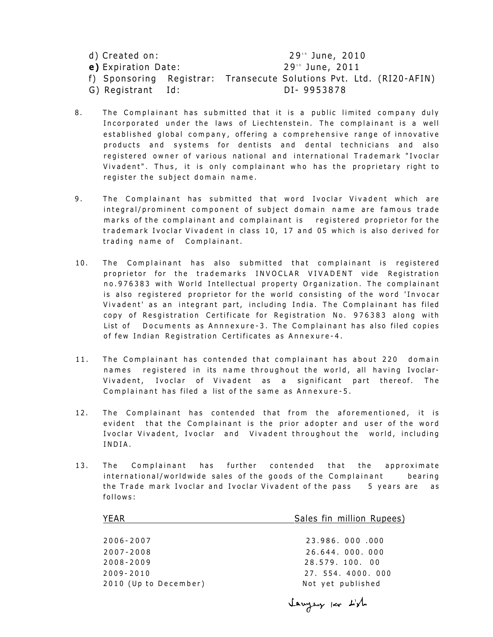| d) Created on:      | 29th June, 2010                                                     |
|---------------------|---------------------------------------------------------------------|
| e) Expiration Date: | 29th June, 2011                                                     |
|                     | f) Sponsoring Registrar: Transecute Solutions Pvt. Ltd. (RI20-AFIN) |
| G) Registrant Id:   | DI-9953878                                                          |

- 8. The Complainant has submitted that it is a public limited company duly Incorporated under the laws of Liechtenstein. The complainant is a well established global company, offering a comprehensive range of innovative products and systems for dentists and dental technicians and also registered owner of various national and international Trademark "Ivoclar Vivadent". Thus, it is only complainant who has the proprietary right to register the subject domain name.
- 9. The Complainant has submitted that word Ivoclar Vivadent which are integral/prominent component of subject domain name are famous trade marks of the complainant and complainant is registered proprietor for the trademark Ivoclar Vivadent in class 10, 17 and 05 which is also derived for trading name of Complainant.
- 10. The Complainant has also submitted that complainant is registered proprietor for the trademarks INVOCLAR VIVADENT vide Registration no.976383 with World Intellectual property Organization. The complainant is also registered proprietor for the world consisting of the word 'Invocar Vivadent' as an integrant part, including India. The Complainant has filed copy of Resgistration Certificate for Registration No. 976383 along with List of Documents as Annnexure-3. The Complainant has also filed copies of few Indian Registration Certificates as Annexure-4.
- 11. The Complainant has contended that complainant has about 220 domain names registered in its name throughout the world, all having Ivoclar-Vivadent, Ivoclar of Vivadent as a significant part thereof. The Complainant has filed a list of the same as Annexure-5.
- 12. The Complainant has contended that from the aforementioned, it is evident that the Complainant is the prior adopter and user of the word Ivoclar Vivadent, Ivoclar and Vivadent throughout the world, including INDIA .
- 13. The Complainant has further contended that the approximate international/worldwide sales of the goods of the Complainant bearing the Trade mark Ivoclar and Ivoclar Vivadent of the pass 5 years are as follows :

| YEAR                  | Sales fin million Rupees) |
|-----------------------|---------------------------|
|                       |                           |
| $2006 - 2007$         | 23.986.000.000            |
| $2007 - 2008$         | 26.644.000.000            |
| $2008 - 2009$         | 28.579.100.00             |
| $2009 - 2010$         | 27. 554. 4000. 000        |
| 2010 (Up to December) | Not yet published         |
|                       |                           |

lawyer for Lish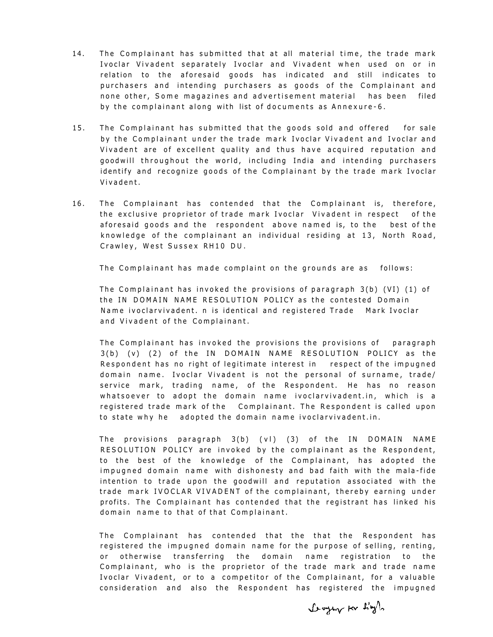- 14. The Complainant has submitted that at all material time, the trade mark Ivoclar Vivadent separately Ivoclar and Vivadent when used on or in relation to the aforesaid goods has indicated and still indicates to purchasers and intending purchasers as goods of the Complainant and none other, Some magazines and advertisement material has been filed by the complainant along with list of documents as Annexure-6.
- 15. The Complainant has submitted that the goods sold and offered for sale by the Complainant under the trade mark Ivoclar Vivadent and Ivoclar and Vivadent are of excellent quality and thus have acquired reputation and goodwill throughout the world, including India and intending purchasers identify and recognize goods of the Complainant by the trade mark Ivoclar Vivadent .
- 16. The Complainant has contended that the Complainant is, therefore, the exclusive proprietor of trade mark Ivoclar Vivadent in respect of the aforesaid goods and the respondent above named is, to the best of the knowledge of the complainant an individual residing at 13, North Road, Crawley, West Sussex RH10 DU.

The Complainant has made complaint on the grounds are as follows:

The Complainant has invoked the provisions of paragraph  $3(b)$  (VI) (1) of the IN DOMAIN NAME RESOLUTION POLICY as the contested Domain Name ivoclarvivadent. n is identical and registered Trade Mark Ivoclar and Vivadent of the Complainant.

The Complainant has invoked the provisions the provisions of paragraph  $3(b)$  (v) (2) of the IN DOMAIN NAME RESOLUTION POLICY as the Respondent has no right of legitimate interest in respect of the impugned domain name. Ivoclar Vivadent is not the personal of surname, trade/ service mark, trading name, of the Respondent. He has no reason whatsoever to adopt the domain name ivoclarvivadent.in, which is a registered trade mark of the Complainant. The Respondent is called upon to state why he adopted the domain name ivoclarvivadent.in.

The provisions paragraph  $3(b)$  (vl) (3) of the IN DOMAIN NAME RESOLUTION POLICY are invoked by the complainant as the Respondent, to the best of the knowledge of the Complainant, has adopted the impugned domain name with dishonesty and bad faith with the mala-fide intention to trade upon the goodwill and reputation associated with the trade mark IVOCLAR VIVADENT of the complainant, thereby earning under profits. The Complainant has contended that the registrant has linked his domain name to that of that Complainant.

The Complainant has contended that the that the Respondent has registered the impugned domain name for the purpose of selling, renting, or otherwise transferring the domain name registration to the Complainant, who is the proprietor of the trade mark and trade name Ivoclar Vivadent, or to a competitor of the Complainant, for a valuable consideration and also the Respondent has registered the impugned

Longer Kr L'yl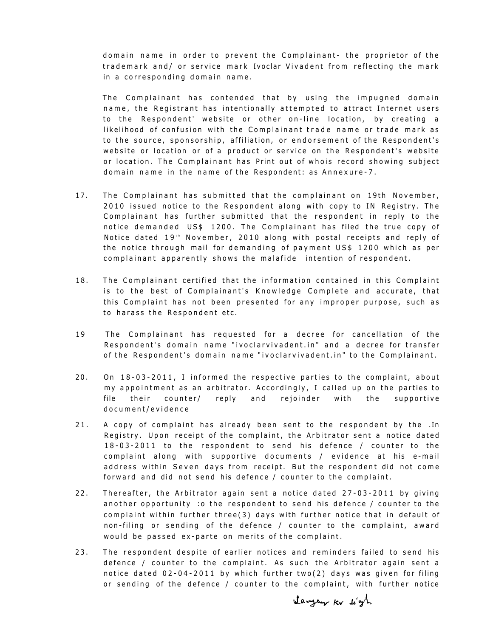domain name in order to prevent the Complainant- the proprietor of the trademark and/ or service mark Ivoclar Vivadent from reflecting the mark in a corresponding domain name.

The Complainant has contended that by using the impugned domain name, the Registrant has intentionally attempted to attract Internet users to the Respondent' website or other on-line location, by creating a likelihood of confusion with the Complainant trade name or trade mark as to the source, sponsorship, affiliation, or endorsement of the Respondent's website or location or of a product or service on the Respondent's website or location. The Complainant has Print out of whois record showing subject domain name in the name of the Respondent: as Annexure-7.

- 17. The Complainant has submitted that the complainant on 19th November, 2010 issued notice to the Respondent along with copy to IN Registry. The Complainant has further submitted that the respondent in reply to the notice demanded US\$ 1200. The Complainant has filed the true copy of Notice dated 19'" November, 2010 along with postal receipts and reply of the notice through mail for demanding of payment US\$ 1200 which as per complainant apparently shows the malafide intention of respondent.
- 18. The Complainant certified that the information contained in this Complaint is to the best of Complainant's Knowledge Complete and accurate, that this Complaint has not been presented for any improper purpose, such as to harass the Respondent etc.
- 19 The Complainant has requested for a decree for cancellation of the Respondent's domain name "ivoclarvivadent.in" and a decree for transfer of the Respondent's domain name "ivoclarvivadent.in" to the Complainant.
- $20.$  On  $18-03-2011$ , I informed the respective parties to the complaint, about my appointment as an arbitrator. Accordingly, I called up on the parties to file their counter/ reply and rejoinder with the supportive document/evidence
- 21. A copy of complaint has already been sent to the respondent by the .In Registry. Upon receipt of the complaint, the Arbitrator sent a notice dated 18-03-2011 to the respondent to send his defence / counter to the complaint along with supportive documents / evidence at his e-mail address within Seven days from receipt. But the respondent did not come forward and did not send his defence / counter to the complaint.
- 22. Thereafter, the Arbitrator again sent a notice dated 27-03-2011 by giving another opportunity :o the respondent to send his defence / counter to the complaint within further three(3) days with further notice that in default of non-filing or sending of the defence / counter to the complaint, award would be passed ex-parte on merits of the complaint.
- 23. The respondent despite of earlier notices and reminders failed to send his defence / counter to the complaint. As such the Arbitrator again sent a notice dated  $02-04-2011$  by which further two(2) days was given for filing or sending of the defence / counter to the complaint, with further notice

Sanger Kr byt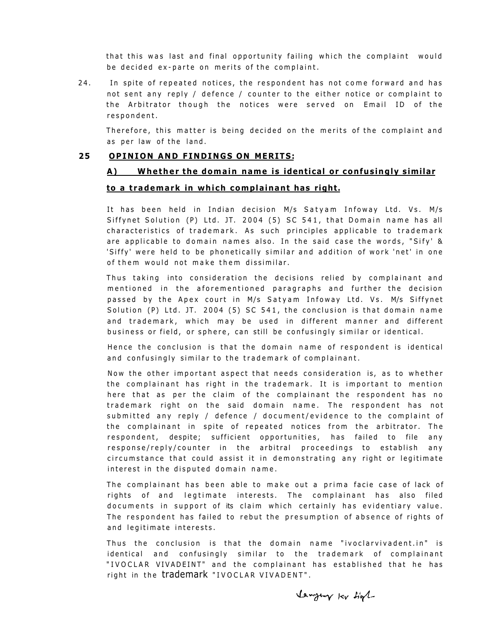that this was last and final opportunity failing which the complaint would be decided ex-parte on merits of the complaint.

24. In spite of repeated notices, the respondent has not come forward and has not sent any reply / defence / counter to the either notice or complaint to the Arbitrator though the notices were served on Email ID of the respondent .

Therefore, this matter is being decided on the merits of the complaint and as per law of the land.

#### 25 OPINION AND FINDINGS ON MERITS:

## **A) Whether the domain name is identical or confusingly similar**

#### **to a trademark in which complainant has right.**

It has been held in Indian decision M/s Satyam Infoway Ltd. Vs. M/s Siffynet Solution (P) Ltd. JT. 2004 (5) SC 541, that Domain name has all characteristics of trademark. As such principles applicable to trademark are applicable to domain names also. In the said case the words, "Sify' & 'Siffy' were held to be phonetically similar and addition of work 'net' in one of them would not make them dissimilar.

Thus taking into consideration the decisions relied by complainant and mentioned in the aforementioned paragraphs and further the decision passed by the Apex court in M/s Satyam Infoway Ltd. Vs. M/s Siffynet Solution (P) Ltd. JT. 2004 (5) SC 541, the conclusion is that domain name and trademark, which may be used in different manner and different business or field, or sphere, can still be confusingly similar or identical.

Hence the conclusion is that the domain name of respondent is identical and confusingly similar to the trademark of complainant.

Now the other important aspect that needs consideration is, as to whether the complainant has right in the trademark. It is important to mention here that as per the claim of the complainant the respondent has no trademark right on the said domain name. The respondent has not submitted any reply / defence / document/evidence to the complaint of the complainant in spite of repeated notices from the arbitrator. The respondent, despite; sufficient opportunities, has failed to file any response/reply/counter in the arbitral proceedings to establish any circumstance that could assist it in demonstrating any right or legitimate interest in the disputed domain name.

The complainant has been able to make out a prima facie case of lack of rights of and legtimate interests. The complainant has also filed documents in support of its claim which certainly has evidentiary value. The respondent has failed to rebut the presumption of absence of rights of and legitimate interests.

Thus the conclusion is that the domain name "ivoclarvivadent.in" is identical and confusingly similar to the trademark of complainant "IVOCLAR VIVADEINT" and the complainant has established that he has right in the trademark "IVOCLAR VIVADENT".

Veryour ler tight